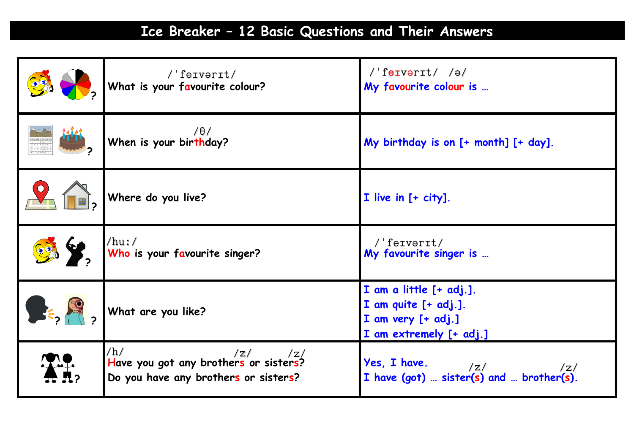## **Ice Breaker – 12 Basic Questions and Their Answers**

|                       | / ferverit/<br>What is your favourite colour?                                                 | $/$ 'ferverit/ /ə/<br>My favourite colour is                                                     |
|-----------------------|-----------------------------------------------------------------------------------------------|--------------------------------------------------------------------------------------------------|
|                       | /θ/<br>/ Vhen is your bir <mark>th</mark> day?                                                | My birthday is on [+ month] [+ day].                                                             |
|                       | Where do you live?                                                                            | I live in [+ city].                                                                              |
| <b>B. Y.</b>          | /hu:/<br>Who is your favourite singer?                                                        | $/$ 'ferverit/<br>My favourite singer is                                                         |
| $\blacktriangleright$ | What are you like?                                                                            | I am a little [+ adj.].<br>I am quite [+ adj.].<br>I am very [+ adj.]<br>I am extremely [+ adj.] |
|                       | /h/<br>$/h/$<br>Have you got any brothers or sisters?<br>Do you have any brothers or sisters? | Ves, I have.<br>I have (got)  sister(s) and  brother(s).                                         |